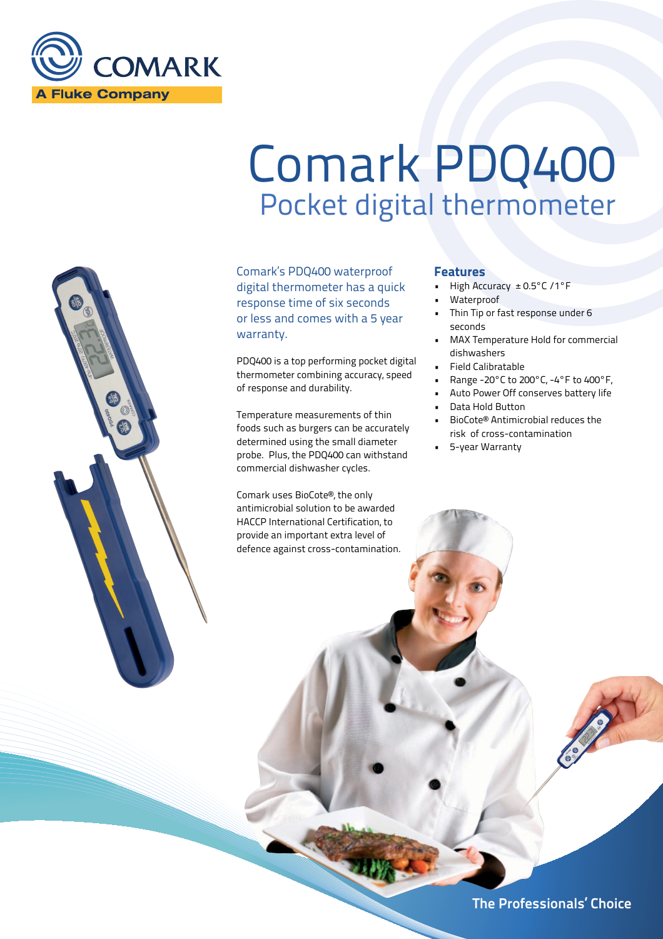

# Comark PDQ400 Pocket digital thermometer

Comark's PDQ400 waterproof digital thermometer has a quick response time of six seconds or less and comes with a 5 year warranty.

PDQ400 is a top performing pocket digital thermometer combining accuracy, speed of response and durability.

Temperature measurements of thin foods such as burgers can be accurately determined using the small diameter probe. Plus, the PDQ400 can withstand commercial dishwasher cycles.

Comark uses BioCote®, the only antimicrobial solution to be awarded HACCP International Certification, to provide an important extra level of defence against cross-contamination.

# **Features**

- High Accuracy ± 0.5°C /1°F
- **Waterproof**
- Thin Tip or fast response under 6 seconds
- MAX Temperature Hold for commercial dishwashers
- Field Calibratable
- Range -20°C to 200°C, -4°F to 400°F,
- Auto Power Off conserves battery life
- Data Hold Button
- BioCote® Antimicrobial reduces the risk of cross-contamination
- 5-year Warranty